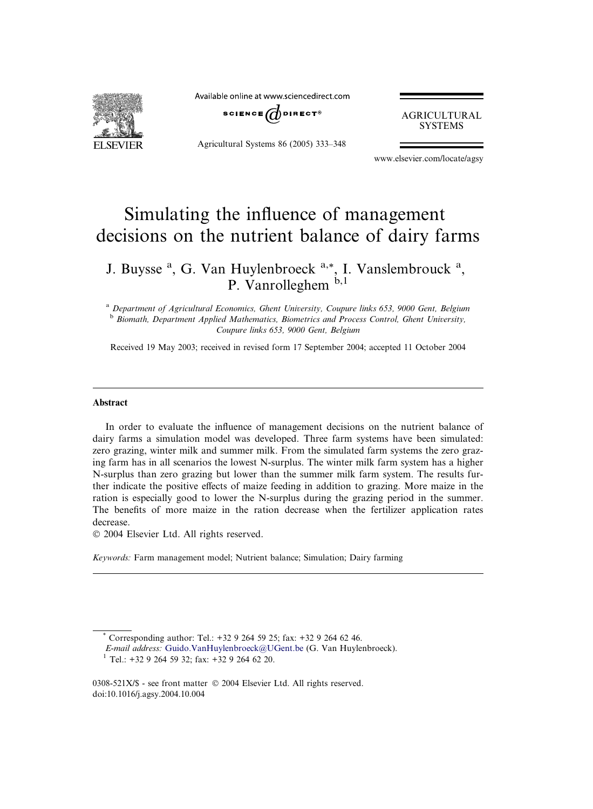

Available online at www.sciencedirect.com



Agricultural Systems 86 (2005) 333–348

AGRICULTURAL SYSTEMS

www.elsevier.com/locate/agsy

# Simulating the influence of management decisions on the nutrient balance of dairy farms

J. Buysse <sup>a</sup>, G. Van Huylenbroeck <sup>a,\*</sup>, I. Vanslembrouck <sup>a</sup>, P. Vanrolleghem  $^{b,1}$ 

<sup>a</sup> Department of Agricultural Economics, Ghent University, Coupure links 653, 9000 Gent, Belgium **b** Biomath, Department Applied Mathematics, Biometrics and Process Control, Ghent University, Coupure links 653, 9000 Gent, Belgium

Received 19 May 2003; received in revised form 17 September 2004; accepted 11 October 2004

#### Abstract

In order to evaluate the influence of management decisions on the nutrient balance of dairy farms a simulation model was developed. Three farm systems have been simulated: zero grazing, winter milk and summer milk. From the simulated farm systems the zero grazing farm has in all scenarios the lowest N-surplus. The winter milk farm system has a higher N-surplus than zero grazing but lower than the summer milk farm system. The results further indicate the positive effects of maize feeding in addition to grazing. More maize in the ration is especially good to lower the N-surplus during the grazing period in the summer. The benefits of more maize in the ration decrease when the fertilizer application rates decrease.

2004 Elsevier Ltd. All rights reserved.

Keywords: Farm management model; Nutrient balance; Simulation; Dairy farming

Corresponding author: Tel.: +32 9 264 59 25; fax: +32 9 264 62 46.

E-mail address: [Guido.VanHuylenbroeck@UGent.be](mailto:Guido.VanHuylenbroeck@UGent.be ) (G. Van Huylenbroeck). <sup>1</sup> Tel.: +32 9 264 59 32; fax: +32 9 264 62 20.

<sup>0308-521</sup>X/\$ - see front matter © 2004 Elsevier Ltd. All rights reserved. doi:10.1016/j.agsy.2004.10.004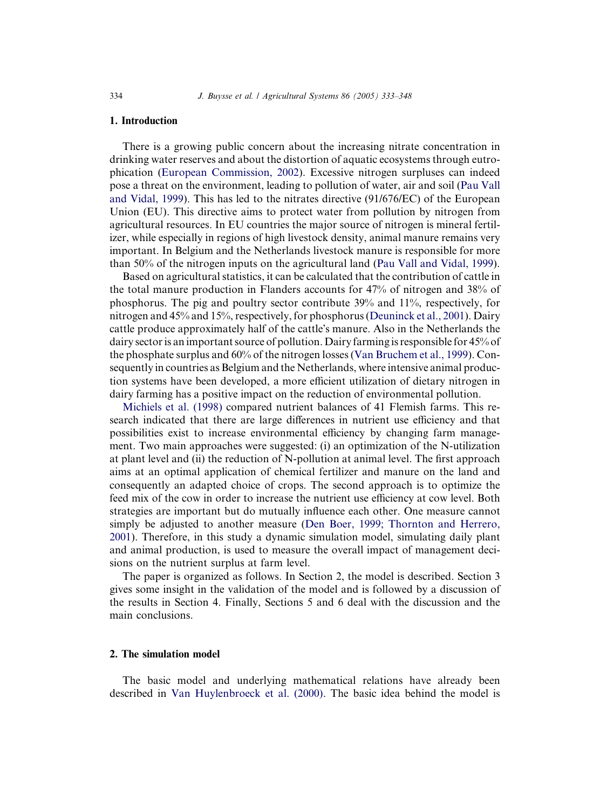# 1. Introduction

There is a growing public concern about the increasing nitrate concentration in drinking water reserves and about the distortion of aquatic ecosystems through eutrophication [\(European Commission, 2002](#page-14-0)). Excessive nitrogen surpluses can indeed pose a threat on the environment, leading to pollution of water, air and soil ([Pau Vall](#page-14-0) [and Vidal, 1999](#page-14-0)). This has led to the nitrates directive (91/676/EC) of the European Union (EU). This directive aims to protect water from pollution by nitrogen from agricultural resources. In EU countries the major source of nitrogen is mineral fertilizer, while especially in regions of high livestock density, animal manure remains very important. In Belgium and the Netherlands livestock manure is responsible for more than 50% of the nitrogen inputs on the agricultural land ([Pau Vall and Vidal, 1999\)](#page-14-0).

Based on agricultural statistics, it can be calculated that the contribution of cattle in the total manure production in Flanders accounts for 47% of nitrogen and 38% of phosphorus. The pig and poultry sector contribute 39% and 11%, respectively, for nitrogen and 45% and 15%, respectively, for phosphorus [\(Deuninck et al., 2001\)](#page-14-0). Dairy cattle produce approximately half of the cattle's manure. Also in the Netherlands the dairy sector is an important source of pollution. Dairy farming is responsible for 45% of the phosphate surplus and 60% of the nitrogen losses [\(Van Bruchem et al., 1999\)](#page-15-0). Consequently in countries as Belgium and the Netherlands, where intensive animal production systems have been developed, a more efficient utilization of dietary nitrogen in dairy farming has a positive impact on the reduction of environmental pollution.

[Michiels et al. \(1998\)](#page-14-0) compared nutrient balances of 41 Flemish farms. This research indicated that there are large differences in nutrient use efficiency and that possibilities exist to increase environmental efficiency by changing farm management. Two main approaches were suggested: (i) an optimization of the N-utilization at plant level and (ii) the reduction of N-pollution at animal level. The first approach aims at an optimal application of chemical fertilizer and manure on the land and consequently an adapted choice of crops. The second approach is to optimize the feed mix of the cow in order to increase the nutrient use efficiency at cow level. Both strategies are important but do mutually influence each other. One measure cannot simply be adjusted to another measure [\(Den Boer, 1999; Thornton and Herrero,](#page-14-0) [2001\)](#page-14-0). Therefore, in this study a dynamic simulation model, simulating daily plant and animal production, is used to measure the overall impact of management decisions on the nutrient surplus at farm level.

The paper is organized as follows. In Section 2, the model is described. Section 3 gives some insight in the validation of the model and is followed by a discussion of the results in Section 4. Finally, Sections 5 and 6 deal with the discussion and the main conclusions.

# 2. The simulation model

The basic model and underlying mathematical relations have already been described in [Van Huylenbroeck et al. \(2000\).](#page-15-0) The basic idea behind the model is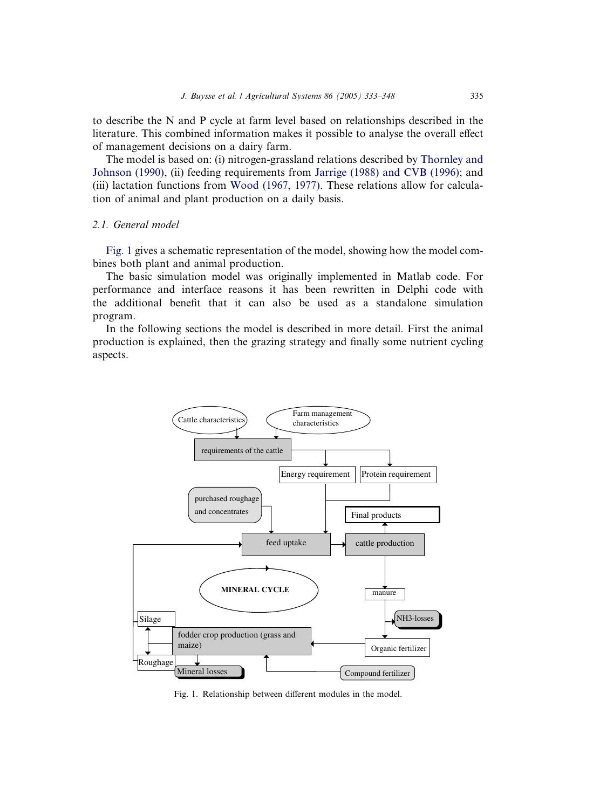to describe the N and P cycle at farm level based on relationships described in the literature. This combined information makes it possible to analyse the overall effect of management decisions on a dairy farm.

The model is based on: (i) nitrogen-grassland relations described by [Thornley and](#page-15-0) [Johnson \(1990\),](#page-15-0) (ii) feeding requirements from [Jarrige \(1988\) and CVB \(1996\);](#page-14-0) and (iii) lactation functions from [Wood \(1967, 1977\).](#page-15-0) These relations allow for calculation of animal and plant production on a daily basis.

## 2.1. General model

Fig. 1 gives a schematic representation of the model, showing how the model combines both plant and animal production.

The basic simulation model was originally implemented in Matlab code. For performance and interface reasons it has been rewritten in Delphi code with the additional benefit that it can also be used as a standalone simulation program.

In the following sections the model is described in more detail. First the animal production is explained, then the grazing strategy and finally some nutrient cycling aspects.



Fig. 1. Relationship between different modules in the model.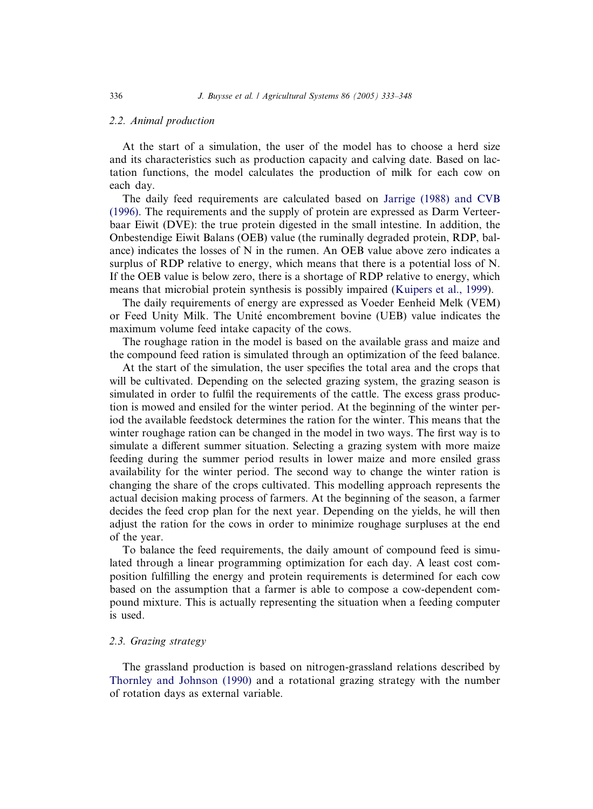# 2.2. Animal production

At the start of a simulation, the user of the model has to choose a herd size and its characteristics such as production capacity and calving date. Based on lactation functions, the model calculates the production of milk for each cow on each day.

The daily feed requirements are calculated based on [Jarrige \(1988\) and CVB](#page-14-0) [\(1996\)](#page-14-0). The requirements and the supply of protein are expressed as Darm Verteerbaar Eiwit (DVE): the true protein digested in the small intestine. In addition, the Onbestendige Eiwit Balans (OEB) value (the ruminally degraded protein, RDP, balance) indicates the losses of N in the rumen. An OEB value above zero indicates a surplus of RDP relative to energy, which means that there is a potential loss of N. If the OEB value is below zero, there is a shortage of RDP relative to energy, which means that microbial protein synthesis is possibly impaired ([Kuipers et al., 1999\)](#page-14-0).

The daily requirements of energy are expressed as Voeder Eenheid Melk (VEM) or Feed Unity Milk. The Unité encombrement bovine (UEB) value indicates the maximum volume feed intake capacity of the cows.

The roughage ration in the model is based on the available grass and maize and the compound feed ration is simulated through an optimization of the feed balance.

At the start of the simulation, the user specifies the total area and the crops that will be cultivated. Depending on the selected grazing system, the grazing season is simulated in order to fulfil the requirements of the cattle. The excess grass production is mowed and ensiled for the winter period. At the beginning of the winter period the available feedstock determines the ration for the winter. This means that the winter roughage ration can be changed in the model in two ways. The first way is to simulate a different summer situation. Selecting a grazing system with more maize feeding during the summer period results in lower maize and more ensiled grass availability for the winter period. The second way to change the winter ration is changing the share of the crops cultivated. This modelling approach represents the actual decision making process of farmers. At the beginning of the season, a farmer decides the feed crop plan for the next year. Depending on the yields, he will then adjust the ration for the cows in order to minimize roughage surpluses at the end of the year.

To balance the feed requirements, the daily amount of compound feed is simulated through a linear programming optimization for each day. A least cost composition fulfilling the energy and protein requirements is determined for each cow based on the assumption that a farmer is able to compose a cow-dependent compound mixture. This is actually representing the situation when a feeding computer is used.

## 2.3. Grazing strategy

The grassland production is based on nitrogen-grassland relations described by [Thornley and Johnson \(1990\)](#page-15-0) and a rotational grazing strategy with the number of rotation days as external variable.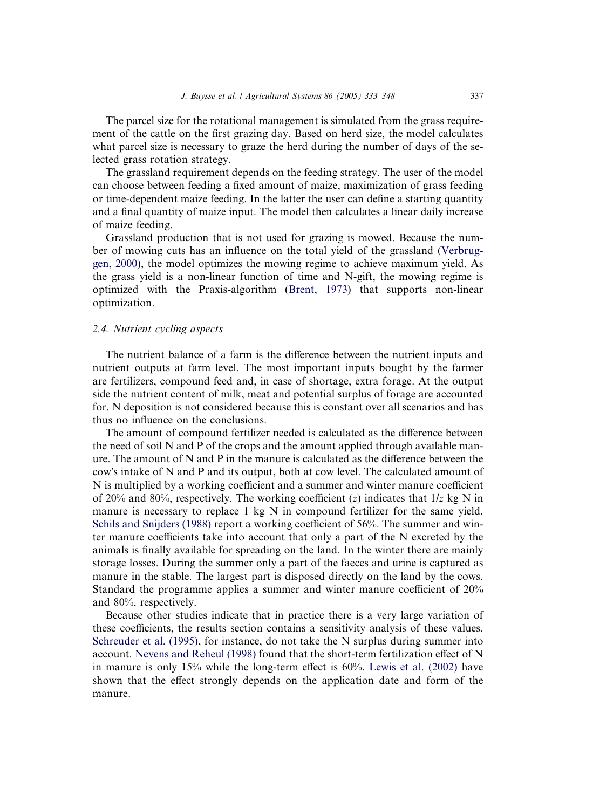The parcel size for the rotational management is simulated from the grass requirement of the cattle on the first grazing day. Based on herd size, the model calculates what parcel size is necessary to graze the herd during the number of days of the selected grass rotation strategy.

The grassland requirement depends on the feeding strategy. The user of the model can choose between feeding a fixed amount of maize, maximization of grass feeding or time-dependent maize feeding. In the latter the user can define a starting quantity and a final quantity of maize input. The model then calculates a linear daily increase of maize feeding.

Grassland production that is not used for grazing is mowed. Because the number of mowing cuts has an influence on the total yield of the grassland [\(Verbrug](#page-15-0)[gen, 2000](#page-15-0)), the model optimizes the mowing regime to achieve maximum yield. As the grass yield is a non-linear function of time and N-gift, the mowing regime is optimized with the Praxis-algorithm ([Brent, 1973](#page-14-0)) that supports non-linear optimization.

#### 2.4. Nutrient cycling aspects

The nutrient balance of a farm is the difference between the nutrient inputs and nutrient outputs at farm level. The most important inputs bought by the farmer are fertilizers, compound feed and, in case of shortage, extra forage. At the output side the nutrient content of milk, meat and potential surplus of forage are accounted for. N deposition is not considered because this is constant over all scenarios and has thus no influence on the conclusions.

The amount of compound fertilizer needed is calculated as the difference between the need of soil N and P of the crops and the amount applied through available manure. The amount of N and P in the manure is calculated as the difference between the cows intake of N and P and its output, both at cow level. The calculated amount of N is multiplied by a working coefficient and a summer and winter manure coefficient of 20% and 80%, respectively. The working coefficient (z) indicates that  $1/z$  kg N in manure is necessary to replace 1 kg N in compound fertilizer for the same yield. [Schils and Snijders \(1988\)](#page-15-0) report a working coefficient of 56%. The summer and winter manure coefficients take into account that only a part of the N excreted by the animals is finally available for spreading on the land. In the winter there are mainly storage losses. During the summer only a part of the faeces and urine is captured as manure in the stable. The largest part is disposed directly on the land by the cows. Standard the programme applies a summer and winter manure coefficient of 20% and 80%, respectively.

Because other studies indicate that in practice there is a very large variation of these coefficients, the results section contains a sensitivity analysis of these values. [Schreuder et al. \(1995\),](#page-15-0) for instance, do not take the N surplus during summer into account. [Nevens and Reheul \(1998\)](#page-14-0) found that the short-term fertilization effect of N in manure is only 15% while the long-term effect is 60%. [Lewis et al. \(2002\)](#page-14-0) have shown that the effect strongly depends on the application date and form of the manure.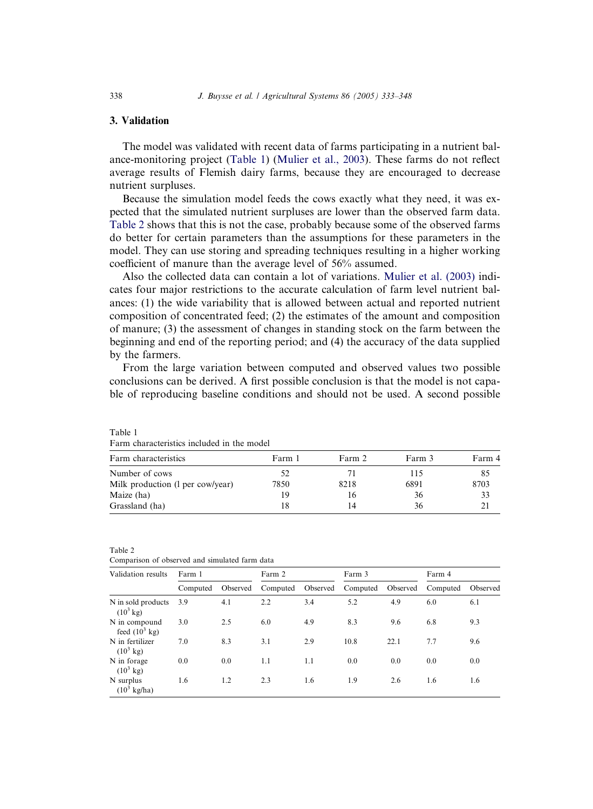# 3. Validation

The model was validated with recent data of farms participating in a nutrient balance-monitoring project (Table 1) [\(Mulier et al., 2003\)](#page-14-0). These farms do not reflect average results of Flemish dairy farms, because they are encouraged to decrease nutrient surpluses.

Because the simulation model feeds the cows exactly what they need, it was expected that the simulated nutrient surpluses are lower than the observed farm data. Table 2 shows that this is not the case, probably because some of the observed farms do better for certain parameters than the assumptions for these parameters in the model. They can use storing and spreading techniques resulting in a higher working coefficient of manure than the average level of 56% assumed.

Also the collected data can contain a lot of variations. [Mulier et al. \(2003\)](#page-14-0) indicates four major restrictions to the accurate calculation of farm level nutrient balances: (1) the wide variability that is allowed between actual and reported nutrient composition of concentrated feed; (2) the estimates of the amount and composition of manure; (3) the assessment of changes in standing stock on the farm between the beginning and end of the reporting period; and (4) the accuracy of the data supplied by the farmers.

From the large variation between computed and observed values two possible conclusions can be derived. A first possible conclusion is that the model is not capable of reproducing baseline conditions and should not be used. A second possible

| 1 anii 011an actombrica mchatta in the motion |        |        |        |  |  |  |  |  |
|-----------------------------------------------|--------|--------|--------|--|--|--|--|--|
| Farm 1                                        | Farm 2 | Farm 3 | Farm 4 |  |  |  |  |  |
|                                               | 71     | 115    | 85     |  |  |  |  |  |
| 7850                                          | 8218   | 6891   | 8703   |  |  |  |  |  |
| 19                                            | 16     | 36     | 33     |  |  |  |  |  |
|                                               | 14     | 36     |        |  |  |  |  |  |
|                                               |        |        |        |  |  |  |  |  |

Table 1 Farm characteristics included in the model

| $1$ ave $\angle$ |                                                |  |  |
|------------------|------------------------------------------------|--|--|
|                  | Comparison of observed and simulated farm data |  |  |

Table 2

| Validation results                        | Farm 1   |          | Farm 2   |          | Farm 3   |          | Farm 4   |          |
|-------------------------------------------|----------|----------|----------|----------|----------|----------|----------|----------|
|                                           | Computed | Observed | Computed | Observed | Computed | Observed | Computed | Observed |
| N in sold products<br>$(10^3 \text{ kg})$ | 3.9      | 4.1      | 2.2      | 3.4      | 5.2      | 4.9      | 6.0      | 6.1      |
| N in compound<br>feed $(10^3 \text{ kg})$ | 3.0      | 2.5      | 6.0      | 4.9      | 8.3      | 9.6      | 6.8      | 9.3      |
| N in fertilizer<br>$(10^3 \text{ kg})$    | 7.0      | 8.3      | 3.1      | 2.9      | 10.8     | 22.1     | 7.7      | 9.6      |
| N in forage<br>$(10^3 \text{ kg})$        | 0.0      | 0.0      | 1.1      | 1.1      | 0.0      | 0.0      | 0.0      | 0.0      |
| N surplus<br>$(10^3 \text{ kg/ha})$       | 1.6      | 1.2      | 2.3      | 1.6      | 1.9      | 2.6      | 1.6      | 1.6      |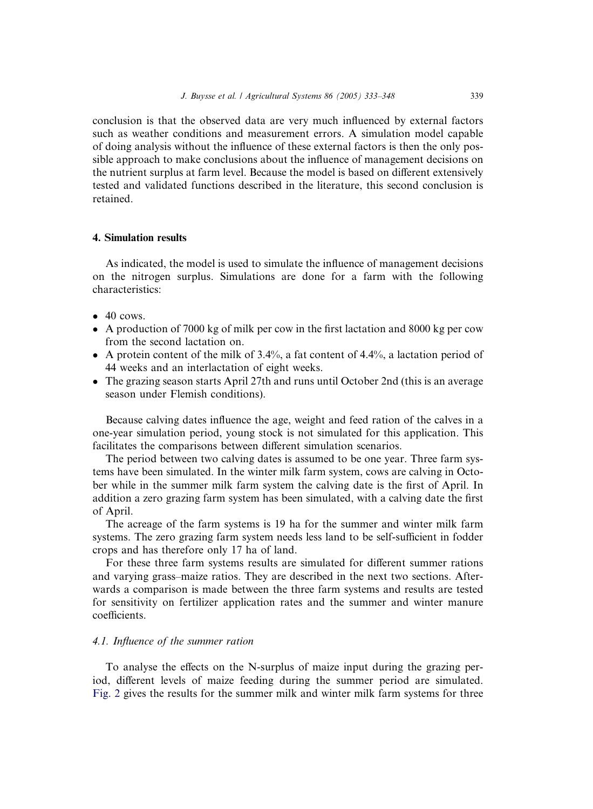conclusion is that the observed data are very much influenced by external factors such as weather conditions and measurement errors. A simulation model capable of doing analysis without the influence of these external factors is then the only possible approach to make conclusions about the influence of management decisions on the nutrient surplus at farm level. Because the model is based on different extensively tested and validated functions described in the literature, this second conclusion is retained.

# 4. Simulation results

As indicated, the model is used to simulate the influence of management decisions on the nitrogen surplus. Simulations are done for a farm with the following characteristics:

- $\bullet$  40 cows.
- A production of 7000 kg of milk per cow in the first lactation and 8000 kg per cow from the second lactation on.
- $\bullet$  A protein content of the milk of 3.4%, a fat content of 4.4%, a lactation period of 44 weeks and an interlactation of eight weeks.
- The grazing season starts April 27th and runs until October 2nd (this is an average season under Flemish conditions).

Because calving dates influence the age, weight and feed ration of the calves in a one-year simulation period, young stock is not simulated for this application. This facilitates the comparisons between different simulation scenarios.

The period between two calving dates is assumed to be one year. Three farm systems have been simulated. In the winter milk farm system, cows are calving in October while in the summer milk farm system the calving date is the first of April. In addition a zero grazing farm system has been simulated, with a calving date the first of April.

The acreage of the farm systems is 19 ha for the summer and winter milk farm systems. The zero grazing farm system needs less land to be self-sufficient in fodder crops and has therefore only 17 ha of land.

For these three farm systems results are simulated for different summer rations and varying grass–maize ratios. They are described in the next two sections. Afterwards a comparison is made between the three farm systems and results are tested for sensitivity on fertilizer application rates and the summer and winter manure coefficients.

# 4.1. Influence of the summer ration

To analyse the effects on the N-surplus of maize input during the grazing period, different levels of maize feeding during the summer period are simulated. [Fig. 2](#page-7-0) gives the results for the summer milk and winter milk farm systems for three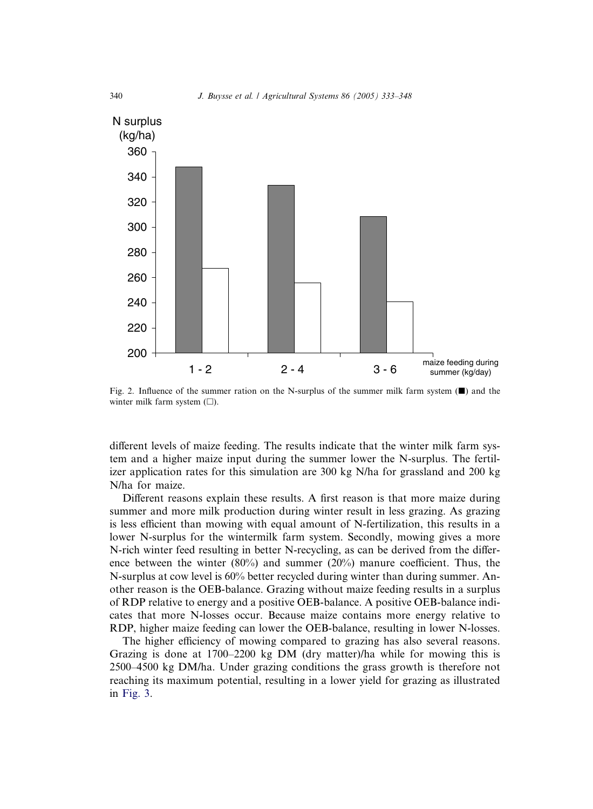

Fig. 2. Influence of the summer ration on the N-surplus of the summer milk farm system  $(\blacksquare)$  and the winter milk farm system  $(\Box)$ .

different levels of maize feeding. The results indicate that the winter milk farm system and a higher maize input during the summer lower the N-surplus. The fertilizer application rates for this simulation are 300 kg N/ha for grassland and 200 kg N/ha for maize.

Different reasons explain these results. A first reason is that more maize during summer and more milk production during winter result in less grazing. As grazing is less efficient than mowing with equal amount of N-fertilization, this results in a lower N-surplus for the wintermilk farm system. Secondly, mowing gives a more N-rich winter feed resulting in better N-recycling, as can be derived from the difference between the winter  $(80\%)$  and summer  $(20\%)$  manure coefficient. Thus, the N-surplus at cow level is 60% better recycled during winter than during summer. Another reason is the OEB-balance. Grazing without maize feeding results in a surplus of RDP relative to energy and a positive OEB-balance. A positive OEB-balance indicates that more N-losses occur. Because maize contains more energy relative to RDP, higher maize feeding can lower the OEB-balance, resulting in lower N-losses.

The higher efficiency of mowing compared to grazing has also several reasons. Grazing is done at 1700–2200 kg DM (dry matter)/ha while for mowing this is 2500–4500 kg DM/ha. Under grazing conditions the grass growth is therefore not reaching its maximum potential, resulting in a lower yield for grazing as illustrated in [Fig. 3](#page-8-0).

<span id="page-7-0"></span>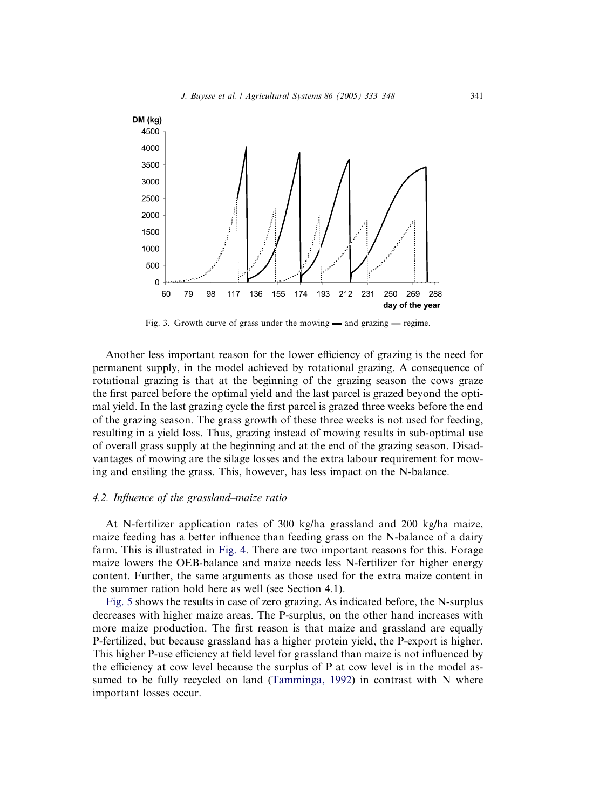<span id="page-8-0"></span>

Fig. 3. Growth curve of grass under the mowing  $\equiv$  and grazing  $\equiv$  regime.

Another less important reason for the lower efficiency of grazing is the need for permanent supply, in the model achieved by rotational grazing. A consequence of rotational grazing is that at the beginning of the grazing season the cows graze the first parcel before the optimal yield and the last parcel is grazed beyond the optimal yield. In the last grazing cycle the first parcel is grazed three weeks before the end of the grazing season. The grass growth of these three weeks is not used for feeding, resulting in a yield loss. Thus, grazing instead of mowing results in sub-optimal use of overall grass supply at the beginning and at the end of the grazing season. Disadvantages of mowing are the silage losses and the extra labour requirement for mowing and ensiling the grass. This, however, has less impact on the N-balance.

## 4.2. Influence of the grassland–maize ratio

At N-fertilizer application rates of 300 kg/ha grassland and 200 kg/ha maize, maize feeding has a better influence than feeding grass on the N-balance of a dairy farm. This is illustrated in [Fig. 4.](#page-9-0) There are two important reasons for this. Forage maize lowers the OEB-balance and maize needs less N-fertilizer for higher energy content. Further, the same arguments as those used for the extra maize content in the summer ration hold here as well (see Section 4.1).

[Fig. 5](#page-9-0) shows the results in case of zero grazing. As indicated before, the N-surplus decreases with higher maize areas. The P-surplus, on the other hand increases with more maize production. The first reason is that maize and grassland are equally P-fertilized, but because grassland has a higher protein yield, the P-export is higher. This higher P-use efficiency at field level for grassland than maize is not influenced by the efficiency at cow level because the surplus of P at cow level is in the model assumed to be fully recycled on land [\(Tamminga, 1992\)](#page-15-0) in contrast with N where important losses occur.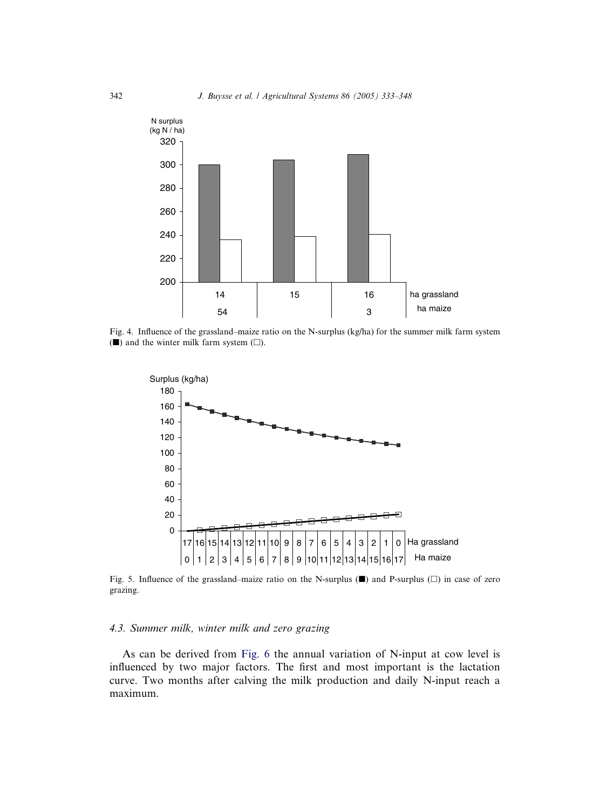<span id="page-9-0"></span>

Fig. 4. Influence of the grassland–maize ratio on the N-surplus (kg/ha) for the summer milk farm system ( $\blacksquare$ ) and the winter milk farm system ( $\square$ ).



Fig. 5. Influence of the grassland–maize ratio on the N-surplus  $(\blacksquare)$  and P-surplus  $(\square)$  in case of zero grazing.

# 4.3. Summer milk, winter milk and zero grazing

As can be derived from [Fig. 6](#page-10-0) the annual variation of N-input at cow level is influenced by two major factors. The first and most important is the lactation curve. Two months after calving the milk production and daily N-input reach a maximum.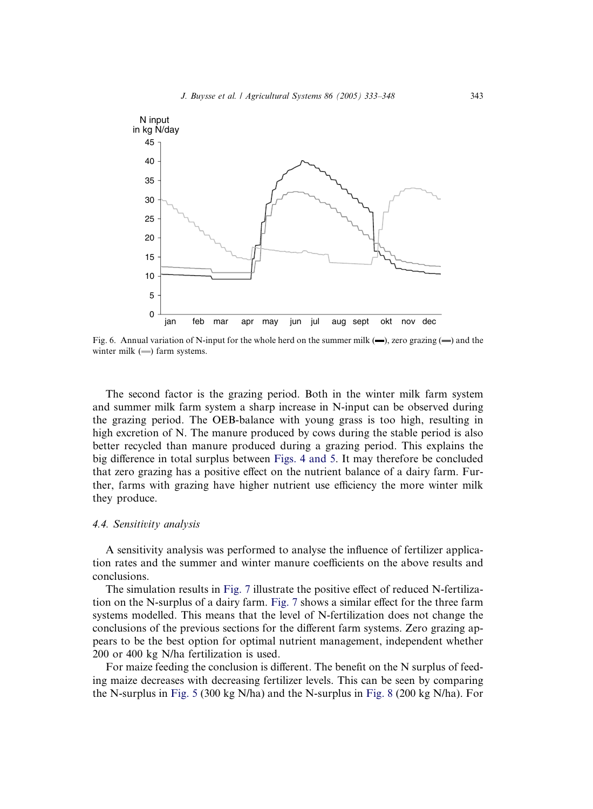<span id="page-10-0"></span>

Fig. 6. Annual variation of N-input for the whole herd on the summer milk  $(-)$ , zero grazing  $(-)$  and the winter milk (-) farm systems.

The second factor is the grazing period. Both in the winter milk farm system and summer milk farm system a sharp increase in N-input can be observed during the grazing period. The OEB-balance with young grass is too high, resulting in high excretion of N. The manure produced by cows during the stable period is also better recycled than manure produced during a grazing period. This explains the big difference in total surplus between [Figs. 4 and 5.](#page-9-0) It may therefore be concluded that zero grazing has a positive effect on the nutrient balance of a dairy farm. Further, farms with grazing have higher nutrient use efficiency the more winter milk they produce.

## 4.4. Sensitivity analysis

A sensitivity analysis was performed to analyse the influence of fertilizer application rates and the summer and winter manure coefficients on the above results and conclusions.

The simulation results in [Fig. 7](#page-11-0) illustrate the positive effect of reduced N-fertilization on the N-surplus of a dairy farm. [Fig. 7](#page-11-0) shows a similar effect for the three farm systems modelled. This means that the level of N-fertilization does not change the conclusions of the previous sections for the different farm systems. Zero grazing appears to be the best option for optimal nutrient management, independent whether 200 or 400 kg N/ha fertilization is used.

For maize feeding the conclusion is different. The benefit on the N surplus of feeding maize decreases with decreasing fertilizer levels. This can be seen by comparing the N-surplus in [Fig. 5](#page-9-0) (300 kg N/ha) and the N-surplus in [Fig. 8](#page-11-0) (200 kg N/ha). For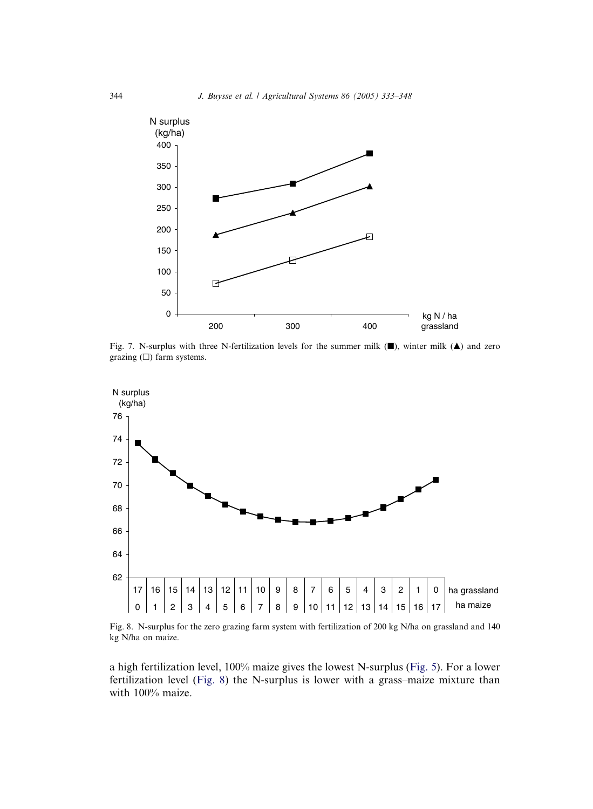<span id="page-11-0"></span>

Fig. 7. N-surplus with three N-fertilization levels for the summer milk  $(\blacksquare)$ , winter milk  $(\blacktriangle)$  and zero grazing  $(\Box)$  farm systems.



Fig. 8. N-surplus for the zero grazing farm system with fertilization of 200 kg N/ha on grassland and 140 kg N/ha on maize.

a high fertilization level, 100% maize gives the lowest N-surplus [\(Fig. 5\)](#page-9-0). For a lower fertilization level (Fig. 8) the N-surplus is lower with a grass–maize mixture than with 100% maize.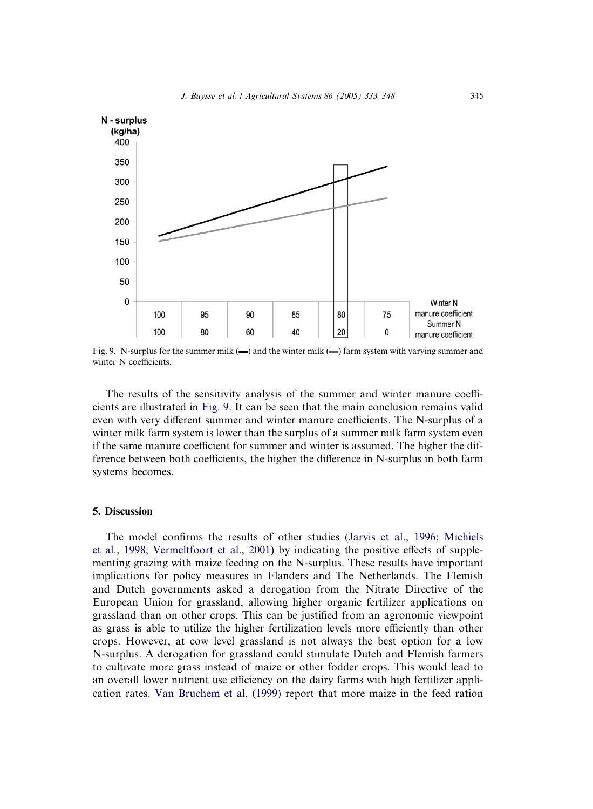

Fig. 9. N-surplus for the summer milk  $(\rightarrow)$  and the winter milk  $(\rightarrow)$  farm system with varying summer and winter N coefficients.

The results of the sensitivity analysis of the summer and winter manure coefficients are illustrated in Fig. 9. It can be seen that the main conclusion remains valid even with very different summer and winter manure coefficients. The N-surplus of a winter milk farm system is lower than the surplus of a summer milk farm system even if the same manure coefficient for summer and winter is assumed. The higher the difference between both coefficients, the higher the difference in N-surplus in both farm systems becomes.

# 5. Discussion

The model confirms the results of other studies ([Jarvis et al., 1996; Michiels](#page-14-0) [et al., 1998; Vermeltfoort et al., 2001](#page-14-0)) by indicating the positive effects of supplementing grazing with maize feeding on the N-surplus. These results have important implications for policy measures in Flanders and The Netherlands. The Flemish and Dutch governments asked a derogation from the Nitrate Directive of the European Union for grassland, allowing higher organic fertilizer applications on grassland than on other crops. This can be justified from an agronomic viewpoint as grass is able to utilize the higher fertilization levels more efficiently than other crops. However, at cow level grassland is not always the best option for a low N-surplus. A derogation for grassland could stimulate Dutch and Flemish farmers to cultivate more grass instead of maize or other fodder crops. This would lead to an overall lower nutrient use efficiency on the dairy farms with high fertilizer application rates. [Van Bruchem et al. \(1999\)](#page-15-0) report that more maize in the feed ration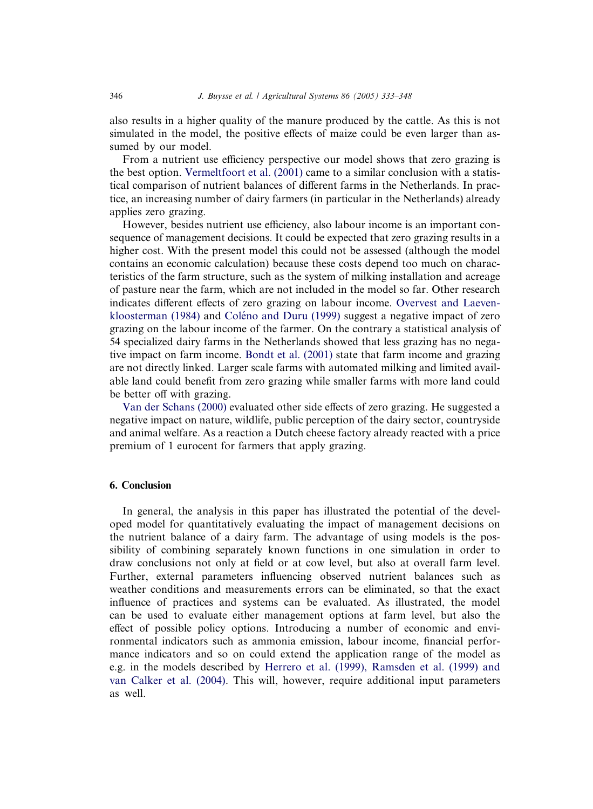also results in a higher quality of the manure produced by the cattle. As this is not simulated in the model, the positive effects of maize could be even larger than assumed by our model.

From a nutrient use efficiency perspective our model shows that zero grazing is the best option. [Vermeltfoort et al. \(2001\)](#page-15-0) came to a similar conclusion with a statistical comparison of nutrient balances of different farms in the Netherlands. In practice, an increasing number of dairy farmers (in particular in the Netherlands) already applies zero grazing.

However, besides nutrient use efficiency, also labour income is an important consequence of management decisions. It could be expected that zero grazing results in a higher cost. With the present model this could not be assessed (although the model contains an economic calculation) because these costs depend too much on characteristics of the farm structure, such as the system of milking installation and acreage of pasture near the farm, which are not included in the model so far. Other research indicates different effects of zero grazing on labour income. [Overvest and Laeven](#page-14-0)[kloosterman \(1984\)](#page-14-0) and Coléno and Duru (1999) suggest a negative impact of zero grazing on the labour income of the farmer. On the contrary a statistical analysis of 54 specialized dairy farms in the Netherlands showed that less grazing has no negative impact on farm income. [Bondt et al. \(2001\)](#page-14-0) state that farm income and grazing are not directly linked. Larger scale farms with automated milking and limited available land could benefit from zero grazing while smaller farms with more land could be better off with grazing.

[Van der Schans \(2000\)](#page-15-0) evaluated other side effects of zero grazing. He suggested a negative impact on nature, wildlife, public perception of the dairy sector, countryside and animal welfare. As a reaction a Dutch cheese factory already reacted with a price premium of 1 eurocent for farmers that apply grazing.

# 6. Conclusion

In general, the analysis in this paper has illustrated the potential of the developed model for quantitatively evaluating the impact of management decisions on the nutrient balance of a dairy farm. The advantage of using models is the possibility of combining separately known functions in one simulation in order to draw conclusions not only at field or at cow level, but also at overall farm level. Further, external parameters influencing observed nutrient balances such as weather conditions and measurements errors can be eliminated, so that the exact influence of practices and systems can be evaluated. As illustrated, the model can be used to evaluate either management options at farm level, but also the effect of possible policy options. Introducing a number of economic and environmental indicators such as ammonia emission, labour income, financial performance indicators and so on could extend the application range of the model as e.g. in the models described by [Herrero et al. \(1999\), Ramsden et al. \(1999\) and](#page-14-0) [van Calker et al. \(2004\).](#page-14-0) This will, however, require additional input parameters as well.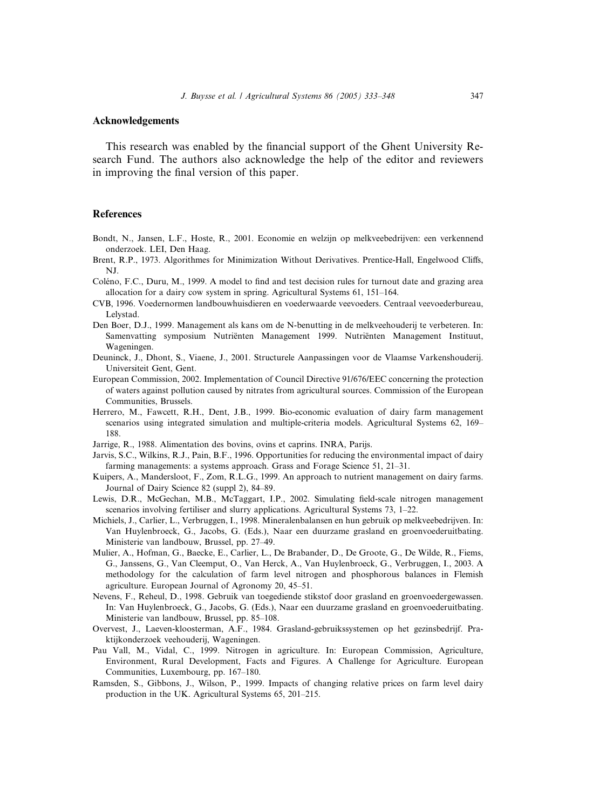### <span id="page-14-0"></span>Acknowledgements

This research was enabled by the financial support of the Ghent University Research Fund. The authors also acknowledge the help of the editor and reviewers in improving the final version of this paper.

# References

- Bondt, N., Jansen, L.F., Hoste, R., 2001. Economie en welzijn op melkveebedrijven: een verkennend onderzoek. LEI, Den Haag.
- Brent, R.P., 1973. Algorithmes for Minimization Without Derivatives. Prentice-Hall, Engelwood Cliffs, NJ.
- Coléno, F.C., Duru, M., 1999. A model to find and test decision rules for turnout date and grazing area allocation for a dairy cow system in spring. Agricultural Systems 61, 151–164.
- CVB, 1996. Voedernormen landbouwhuisdieren en voederwaarde veevoeders. Centraal veevoederbureau, Lelystad.
- Den Boer, D.J., 1999. Management als kans om de N-benutting in de melkveehouderij te verbeteren. In: Samenvatting symposium Nutriënten Management 1999. Nutriënten Management Instituut, Wageningen.
- Deuninck, J., Dhont, S., Viaene, J., 2001. Structurele Aanpassingen voor de Vlaamse Varkenshouderij. Universiteit Gent, Gent.
- European Commission, 2002. Implementation of Council Directive 91/676/EEC concerning the protection of waters against pollution caused by nitrates from agricultural sources. Commission of the European Communities, Brussels.
- Herrero, M., Fawcett, R.H., Dent, J.B., 1999. Bio-economic evaluation of dairy farm management scenarios using integrated simulation and multiple-criteria models. Agricultural Systems 62, 169– 188.
- Jarrige, R., 1988. Alimentation des bovins, ovins et caprins. INRA, Parijs.
- Jarvis, S.C., Wilkins, R.J., Pain, B.F., 1996. Opportunities for reducing the environmental impact of dairy farming managements: a systems approach. Grass and Forage Science 51, 21–31.
- Kuipers, A., Mandersloot, F., Zom, R.L.G., 1999. An approach to nutrient management on dairy farms. Journal of Dairy Science 82 (suppl 2), 84–89.
- Lewis, D.R., McGechan, M.B., McTaggart, I.P., 2002. Simulating field-scale nitrogen management scenarios involving fertiliser and slurry applications. Agricultural Systems 73, 1–22.
- Michiels, J., Carlier, L., Verbruggen, I., 1998. Mineralenbalansen en hun gebruik op melkveebedrijven. In: Van Huylenbroeck, G., Jacobs, G. (Eds.), Naar een duurzame grasland en groenvoederuitbating. Ministerie van landbouw, Brussel, pp. 27–49.
- Mulier, A., Hofman, G., Baecke, E., Carlier, L., De Brabander, D., De Groote, G., De Wilde, R., Fiems, G., Janssens, G., Van Cleemput, O., Van Herck, A., Van Huylenbroeck, G., Verbruggen, I., 2003. A methodology for the calculation of farm level nitrogen and phosphorous balances in Flemish agriculture. European Journal of Agronomy 20, 45–51.
- Nevens, F., Reheul, D., 1998. Gebruik van toegediende stikstof door grasland en groenvoedergewassen. In: Van Huylenbroeck, G., Jacobs, G. (Eds.), Naar een duurzame grasland en groenvoederuitbating. Ministerie van landbouw, Brussel, pp. 85–108.
- Overvest, J., Laeven-kloosterman, A.F., 1984. Grasland-gebruikssystemen op het gezinsbedrijf. Praktijkonderzoek veehouderij, Wageningen.
- Pau Vall, M., Vidal, C., 1999. Nitrogen in agriculture. In: European Commission, Agriculture, Environment, Rural Development, Facts and Figures. A Challenge for Agriculture. European Communities, Luxembourg, pp. 167–180.
- Ramsden, S., Gibbons, J., Wilson, P., 1999. Impacts of changing relative prices on farm level dairy production in the UK. Agricultural Systems 65, 201–215.